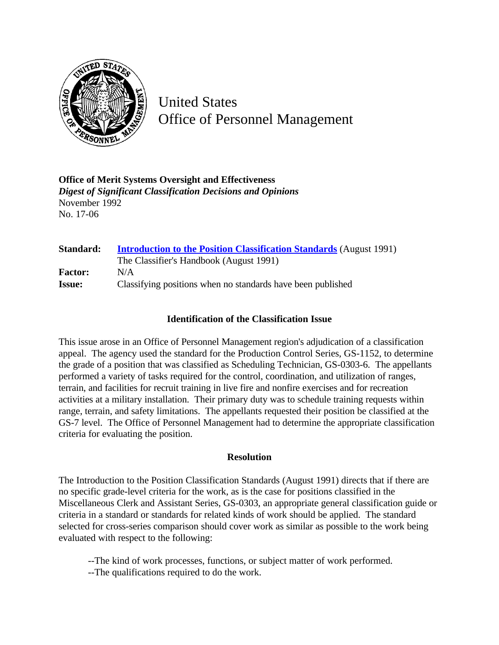

United States Office of Personnel Management

**Office of Merit Systems Oversight and Effectiveness** *Digest of Significant Classification Decisions and Opinions* November 1992 No. 17-06

| Standard:      | <b>Introduction to the Position Classification Standards (August 1991)</b> |
|----------------|----------------------------------------------------------------------------|
|                | The Classifier's Handbook (August 1991)                                    |
| <b>Factor:</b> | N/A                                                                        |
| <b>Issue:</b>  | Classifying positions when no standards have been published                |

## **Identification of the Classification Issue**

This issue arose in an Office of Personnel Management region's adjudication of a classification appeal. The agency used the standard for the Production Control Series, GS-1152, to determine the grade of a position that was classified as Scheduling Technician, GS-0303-6. The appellants performed a variety of tasks required for the control, coordination, and utilization of ranges, terrain, and facilities for recruit training in live fire and nonfire exercises and for recreation activities at a military installation. Their primary duty was to schedule training requests within range, terrain, and safety limitations. The appellants requested their position be classified at the GS-7 level. The Office of Personnel Management had to determine the appropriate classification criteria for evaluating the position.

## **Resolution**

The Introduction to the Position Classification Standards (August 1991) directs that if there are no specific grade-level criteria for the work, as is the case for positions classified in the Miscellaneous Clerk and Assistant Series, GS-0303, an appropriate general classification guide or criteria in a standard or standards for related kinds of work should be applied. The standard selected for cross-series comparison should cover work as similar as possible to the work being evaluated with respect to the following:

--The kind of work processes, functions, or subject matter of work performed.

--The qualifications required to do the work.